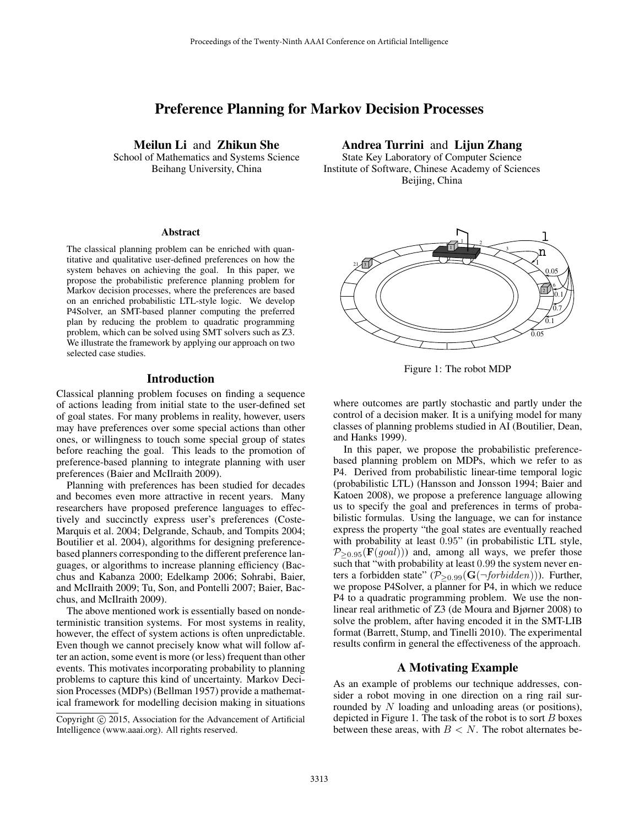# Preference Planning for Markov Decision Processes

Meilun Li and Zhikun She School of Mathematics and Systems Science

Beihang University, China

#### **Abstract**

The classical planning problem can be enriched with quantitative and qualitative user-defined preferences on how the system behaves on achieving the goal. In this paper, we propose the probabilistic preference planning problem for Markov decision processes, where the preferences are based on an enriched probabilistic LTL-style logic. We develop P4Solver, an SMT-based planner computing the preferred plan by reducing the problem to quadratic programming problem, which can be solved using SMT solvers such as Z3. We illustrate the framework by applying our approach on two selected case studies.

## Introduction

Classical planning problem focuses on finding a sequence of actions leading from initial state to the user-defined set of goal states. For many problems in reality, however, users may have preferences over some special actions than other ones, or willingness to touch some special group of states before reaching the goal. This leads to the promotion of preference-based planning to integrate planning with user preferences (Baier and McIlraith 2009).

Planning with preferences has been studied for decades and becomes even more attractive in recent years. Many researchers have proposed preference languages to effectively and succinctly express user's preferences (Coste-Marquis et al. 2004; Delgrande, Schaub, and Tompits 2004; Boutilier et al. 2004), algorithms for designing preferencebased planners corresponding to the different preference languages, or algorithms to increase planning efficiency (Bacchus and Kabanza 2000; Edelkamp 2006; Sohrabi, Baier, and McIlraith 2009; Tu, Son, and Pontelli 2007; Baier, Bacchus, and McIlraith 2009).

The above mentioned work is essentially based on nondeterministic transition systems. For most systems in reality, however, the effect of system actions is often unpredictable. Even though we cannot precisely know what will follow after an action, some event is more (or less) frequent than other events. This motivates incorporating probability to planning problems to capture this kind of uncertainty. Markov Decision Processes (MDPs) (Bellman 1957) provide a mathematical framework for modelling decision making in situations

Andrea Turrini and Lijun Zhang

State Key Laboratory of Computer Science Institute of Software, Chinese Academy of Sciences Beijing, China



Figure 1: The robot MDP

where outcomes are partly stochastic and partly under the control of a decision maker. It is a unifying model for many classes of planning problems studied in AI (Boutilier, Dean, and Hanks 1999).

In this paper, we propose the probabilistic preferencebased planning problem on MDPs, which we refer to as P4. Derived from probabilistic linear-time temporal logic (probabilistic LTL) (Hansson and Jonsson 1994; Baier and Katoen 2008), we propose a preference language allowing us to specify the goal and preferences in terms of probabilistic formulas. Using the language, we can for instance express the property "the goal states are eventually reached with probability at least 0.95" (in probabilistic LTL style,  $P_{\geq 0.95}(\mathbf{F}(goal))$  and, among all ways, we prefer those such that "with probability at least 0.99 the system never enters a forbidden state" ( $\mathcal{P}_{\geq 0.99}(\mathbf{G}(\neg forbidden))$ ). Further, we propose P4Solver, a planner for P4, in which we reduce P4 to a quadratic programming problem. We use the nonlinear real arithmetic of Z3 (de Moura and Bjørner 2008) to solve the problem, after having encoded it in the SMT-LIB format (Barrett, Stump, and Tinelli 2010). The experimental results confirm in general the effectiveness of the approach.

## A Motivating Example

As an example of problems our technique addresses, consider a robot moving in one direction on a ring rail surrounded by N loading and unloading areas (or positions), depicted in Figure 1. The task of the robot is to sort  $B$  boxes between these areas, with  $B < N$ . The robot alternates be-

Copyright (c) 2015, Association for the Advancement of Artificial Intelligence (www.aaai.org). All rights reserved.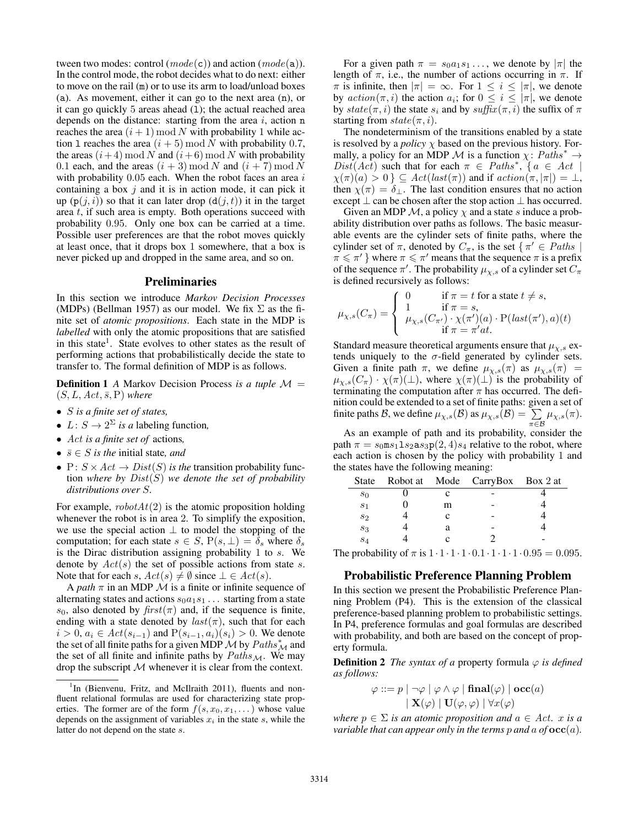tween two modes: control  $(model(c))$  and action  $(model(a))$ . In the control mode, the robot decides what to do next: either to move on the rail (m) or to use its arm to load/unload boxes (a). As movement, either it can go to the next area (n), or it can go quickly  $5$  areas ahead  $(1)$ ; the actual reached area depends on the distance: starting from the area  $i$ , action n reaches the area  $(i + 1) \mod N$  with probability 1 while action 1 reaches the area  $(i + 5) \mod N$  with probability 0.7, the areas  $(i+4) \mod N$  and  $(i+6) \mod N$  with probability 0.1 each, and the areas  $(i + 3) \mod N$  and  $(i + 7) \mod N$ with probability  $0.05$  each. When the robot faces an area i containing a box  $j$  and it is in action mode, it can pick it up  $(p(j, i))$  so that it can later drop  $(d(j, t))$  it in the target area  $t$ , if such area is empty. Both operations succeed with probability 0.95. Only one box can be carried at a time. Possible user preferences are that the robot moves quickly at least once, that it drops box 1 somewhere, that a box is never picked up and dropped in the same area, and so on.

## Preliminaries

In this section we introduce *Markov Decision Processes* (MDPs) (Bellman 1957) as our model. We fix  $\Sigma$  as the finite set of *atomic propositions*. Each state in the MDP is *labelled* with only the atomic propositions that are satisfied in this state<sup>1</sup>. State evolves to other states as the result of performing actions that probabilistically decide the state to transfer to. The formal definition of MDP is as follows.

**Definition 1** *A* Markov Decision Process *is a tuple*  $M =$  $(S, L, Act, \overline{s}, P)$  *where* 

- S *is a finite set of states,*
- $L: S \to 2^{\Sigma}$  *is a* labeling function,
- Act *is a finite set of* actions*,*
- $\bar{s} \in S$  *is the* initial state, *and*
- P:  $S \times Act \rightarrow Dist(S)$  *is the transition probability func*tion *where by* Dist(S) *we denote the set of probability distributions over* S*.*

For example,  $robotAt(2)$  is the atomic proposition holding whenever the robot is in area 2. To simplify the exposition, we use the special action  $\perp$  to model the stopping of the computation; for each state  $s \in S$ ,  $P(s, \perp) = \delta_s$  where  $\delta_s$ is the Dirac distribution assigning probability 1 to s. We denote by  $Act(s)$  the set of possible actions from state s. Note that for each s,  $Act(s) \neq \emptyset$  since  $\bot \in Act(s)$ .

A *path*  $\pi$  in an MDP  $\mathcal M$  is a finite or infinite sequence of alternating states and actions  $s_0a_1s_1 \ldots$  starting from a state  $s_0$ , also denoted by  $first(\pi)$  and, if the sequence is finite, ending with a state denoted by  $last(\pi)$ , such that for each  $i > 0, a_i \in Act(s_{i-1})$  and  $P(s_{i-1}, a_i)(s_i) > 0$ . We denote the set of all finite paths for a given MDP  $\mathcal M$  by  $Paths^*_{\mathcal M}$  and the set of all finite and infinite paths by  $Paths_{\mathcal{M}}$ . We may drop the subscript  $M$  whenever it is clear from the context.

For a given path  $\pi = s_0 a_1 s_1 \dots$ , we denote by  $|\pi|$  the length of  $\pi$ , i.e., the number of actions occurring in  $\pi$ . If  $\pi$  is infinite, then  $|\pi| = \infty$ . For  $1 \leq i \leq |\pi|$ , we denote by  $action(\pi, i)$  the action  $a_i$ ; for  $0 \le i \le |\pi|$ , we denote by  $state(\pi, i)$  the state  $s_i$  and by  $suffix(\pi, i)$  the suffix of  $\pi$ starting from  $state(\pi, i)$ .

The nondeterminism of the transitions enabled by a state is resolved by a *policy*  $\chi$  based on the previous history. Formally, a policy for an MDP M is a function  $\chi: \mathit{Paths}^* \rightarrow$  $Dist(Act)$  such that for each  $\pi \in \mathit{Paths}^*, \{a \in \mathit{Act} \mid \pi\}$  $\chi(\pi)(a) > 0$  }  $\subseteq$   $Act(last(\pi))$  and if  $action(\pi, |\pi|) = \bot$ , then  $\chi(\pi) = \delta_{\perp}$ . The last condition ensures that no action except  $\perp$  can be chosen after the stop action  $\perp$  has occurred.

Given an MDP  $\mathcal{M}$ , a policy  $\chi$  and a state s induce a probability distribution over paths as follows. The basic measurable events are the cylinder sets of finite paths, where the cylinder set of  $\pi$ , denoted by  $C_{\pi}$ , is the set  $\{\pi' \in Paths \mid$  $\pi \leq \pi'$  where  $\pi \leq \pi'$  means that the sequence  $\pi$  is a prefix of the sequence  $\pi'$ . The probability  $\mu_{\chi,s}$  of a cylinder set  $C_{\pi}$ is defined recursively as follows:

$$
\mu_{\chi,s}(C_{\pi}) = \begin{cases}\n0 & \text{if } \pi = t \text{ for a state } t \neq s, \\
1 & \text{if } \pi = s, \\
\mu_{\chi,s}(C_{\pi'}) \cdot \chi(\pi')(a) \cdot \text{P}(last(\pi'), a)(t) \\
\text{if } \pi = \pi' at.\n\end{cases}
$$

Standard measure theoretical arguments ensure that  $\mu_{\chi,s}$  extends uniquely to the  $\sigma$ -field generated by cylinder sets. Given a finite path  $\pi$ , we define  $\mu_{\chi,s}(\pi)$  as  $\mu_{\chi,s}(\pi)$  =  $\mu_{\chi,s}(C_\pi) \cdot \chi(\pi)(\perp)$ , where  $\chi(\pi)(\perp)$  is the probability of terminating the computation after  $\pi$  has occurred. The definition could be extended to a set of finite paths: given a set of finite paths B, we define  $\mu_{\chi,s}(\mathcal{B})$  as  $\mu_{\chi,s}(\mathcal{B}) = \sum_{\pi \in \mathcal{B}} \mu_{\chi,s}(\pi)$ .

As an example of path and its probability, consider the path  $\pi = s_0 \text{ms}_1 1 s_2 \text{as}_3 \text{p}(2, 4) s_4$  relative to the robot, where each action is chosen by the policy with probability 1 and the states have the following meaning:

| State          |   | Robot at Mode CarryBox Box 2 at |  |  |
|----------------|---|---------------------------------|--|--|
| $s_0$          |   |                                 |  |  |
| S <sub>1</sub> | m |                                 |  |  |
| $s_2$          | c |                                 |  |  |
| $s_3$          | а |                                 |  |  |
| $s_4$          | c |                                 |  |  |
|                |   |                                 |  |  |

The probability of  $\pi$  is  $1 \cdot 1 \cdot 1 \cdot 1 \cdot 1 \cdot 1 \cdot 1 \cdot 1 \cdot 0.95 = 0.095$ .

## Probabilistic Preference Planning Problem

In this section we present the Probabilistic Preference Planning Problem (P4). This is the extension of the classical preference-based planning problem to probabilistic settings. In P4, preference formulas and goal formulas are described with probability, and both are based on the concept of property formula.

**Definition 2** *The syntax of a* property formula  $\varphi$  *is defined as follows:*

$$
\varphi ::= p \mid \neg \varphi \mid \varphi \land \varphi \mid \mathbf{final}(\varphi) \mid \mathbf{occ}(a)
$$

$$
\mid \mathbf{X}(\varphi) \mid \mathbf{U}(\varphi, \varphi) \mid \forall x(\varphi)
$$

*where*  $p \in \Sigma$  *is an atomic proposition and*  $a \in Act$ *. x is a variable that can appear only in the terms p and a of*  $\operatorname{occ}(a)$ *.* 

<sup>&</sup>lt;sup>1</sup>In (Bienvenu, Fritz, and McIlraith 2011), fluents and nonfluent relational formulas are used for characterizing state properties. The former are of the form  $f(s, x_0, x_1, ...)$  whose value depends on the assignment of variables  $x_i$  in the state s, while the latter do not depend on the state s.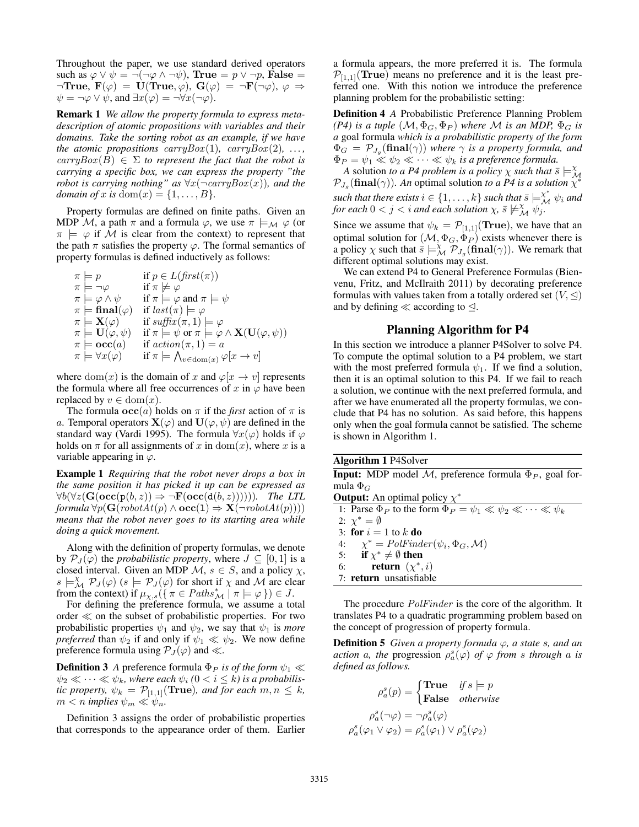Throughout the paper, we use standard derived operators such as  $\varphi \lor \psi = \neg(\neg \varphi \land \neg \psi)$ , True =  $p \lor \neg p$ , False =  $\neg$ True,  $\mathbf{F}(\varphi) = \mathbf{U}(\text{True}, \varphi), \mathbf{G}(\varphi) = \neg \mathbf{F}(\neg \varphi), \varphi \Rightarrow$  $\psi = \neg \varphi \vee \psi$ , and  $\exists x(\varphi) = \neg \forall x(\neg \varphi)$ .

Remark 1 *We allow the property formula to express metadescription of atomic propositions with variables and their domains. Take the sorting robot as an example, if we have the atomic propositions carryBox* $(1)$ *, carryBox* $(2)$ *, ...,*  $carryBox(B) \in \Sigma$  to represent the fact that the robot is *carrying a specific box, we can express the property "the robot is carrying nothing" as*  $\forall x(\neg carryBox(x))$ *, and the domain of* x is dom $(x) = \{1, ..., B\}$ .

Property formulas are defined on finite paths. Given an MDP M, a path  $\pi$  and a formula  $\varphi$ , we use  $\pi \models_M \varphi$  (or  $\pi$   $\models$   $\varphi$  if M is clear from the context) to represent that the path  $\pi$  satisfies the property  $\varphi$ . The formal semantics of property formulas is defined inductively as follows:

 $\pi \models p$  if  $p \in L(first(\pi))$  $\begin{array}{ll}\n\pi \models \neg \varphi & \text{if } \pi \not\models \varphi \\
\pi \models \varphi \land \psi & \text{if } \pi \models \varphi\n\end{array}$ if  $\pi \models \varphi$  and  $\pi \models \psi$  $\pi \models \textbf{final}(\varphi)$  if  $last(\pi) \models \varphi$  $\pi \models \mathbf{X}(\varphi)$  if  $\text{suffix}(\pi, 1) \models \varphi$  $\pi \models \mathbf{U}(\varphi, \psi)$  if  $\pi \models \psi$  or  $\pi \models \varphi \wedge \mathbf{X}(\mathbf{U}(\varphi, \psi))$  $\pi \models \mathbf{occ}(a)$  if  $action(\pi, 1) = a$  $\pi \models \forall x(\varphi)$  $\bigwedge_{v \in \text{dom}(x)} \varphi[x \to v]$ 

where  $dom(x)$  is the domain of x and  $\varphi[x \to v]$  represents the formula where all free occurrences of x in  $\varphi$  have been replaced by  $v \in \text{dom}(x)$ .

The formula  $\operatorname{occ}(a)$  holds on  $\pi$  if the *first* action of  $\pi$  is a. Temporal operators  $\mathbf{X}(\varphi)$  and  $\mathbf{U}(\varphi, \psi)$  are defined in the standard way (Vardi 1995). The formula  $\forall x(\varphi)$  holds if  $\varphi$ holds on  $\pi$  for all assignments of x in dom(x), where x is a variable appearing in  $\varphi$ .

Example 1 *Requiring that the robot never drops a box in the same position it has picked it up can be expressed as*  $\forall b(\forall z(\mathbf{G}(\mathbf{occ}(p(b, z))) \Rightarrow \neg \mathbf{F}(\mathbf{occ}(d(b, z))))))$ *. The LTL formula*  $\forall p(\mathbf{G}(robotAt(p) \land \mathbf{occ}(1) \Rightarrow \mathbf{X}(\neg robotAt(p))))$ *means that the robot never goes to its starting area while doing a quick movement.*

Along with the definition of property formulas, we denote by  $\mathcal{P}_J(\varphi)$  the *probabilistic property*, where  $J \subseteq [0,1]$  is a closed interval. Given an MDP  $\mathcal{M}, s \in S$ , and a policy  $\chi$ ,  $s \models_M^{\chi} \mathcal{P}_J(\varphi)$  ( $s \models \mathcal{P}_J(\varphi)$  for short if  $\chi$  and  $\mathcal{M}$  are clear from the context) if  $\mu_{\chi,s}(\{\pi \in \mathit{Paths}_{\mathcal{M}}^* \mid \pi \models \varphi\}) \in J$ .

For defining the preference formula, we assume a total order  $\ll$  on the subset of probabilistic properties. For two probabilistic properties  $\psi_1$  and  $\psi_2$ , we say that  $\psi_1$  is *more preferred* than  $\psi_2$  if and only if  $\psi_1 \ll \psi_2$ . We now define preference formula using  $\mathcal{P}_J(\varphi)$  and  $\ll$ .

**Definition 3** *A* preference formula  $\Phi_P$  *is of the form*  $\psi_1 \ll$  $\psi_2 \ll \cdots \ll \psi_k$ , where each  $\psi_i$  ( $0 < i \leq k$ ) is a probabilis*tic property,*  $\psi_k = \mathcal{P}_{[1,1]}(\text{True})$ *, and for each*  $m, n \leq k$ *,*  $m < n$  *implies*  $\psi_m \ll \psi_n$ .

Definition 3 assigns the order of probabilistic properties that corresponds to the appearance order of them. Earlier a formula appears, the more preferred it is. The formula  $P_{[1,1]}$ (True) means no preference and it is the least preferred one. With this notion we introduce the preference planning problem for the probabilistic setting:

Definition 4 *A* Probabilistic Preference Planning Problem *(P4) is a tuple*  $(M, \Phi_G, \Phi_P)$  *where M is an MDP*,  $\Phi_G$  *is a* goal formula *which is a probabilistic property of the form*  $\Phi_G = \mathcal{P}_{J_g}(\textbf{final}(\gamma))$  where  $\gamma$  is a property formula, and  $\Phi_P = \psi_1 \ll \psi_2 \ll \cdots \ll \psi_k$  is a preference formula.

*A* solution *to a P4 problem is a policy*  $\chi$  *such that*  $\bar{s} \models^{\chi}_{\mathcal{M}} \mathcal{P}_{J_g}(\mathbf{final}(\gamma))$ . An optimal solution *to a P4 is a solution*  $\chi^*$ 

 $s$ uch that there exists  $i \in \{1, \ldots, k\}$  such that  $\bar{s} \models^\chi_\mathcal{M} \psi_i$  and *for each*  $0 < j < i$  *and each solution*  $\chi$ ,  $\bar{s} \not\models^{\chi}_{\mathcal{M}} \psi_j^{\chi}$ .

Since we assume that  $\psi_k = \mathcal{P}_{[1,1]}(\text{True})$ , we have that an optimal solution for  $(M, \Phi_G, \Phi_P)$  exists whenever there is a policy  $\chi$  such that  $\bar{s} \models_M^{\chi} \overline{P}_{J_g}(\textbf{final}(\gamma))$ . We remark that different optimal solutions may exist.

We can extend P4 to General Preference Formulas (Bienvenu, Fritz, and McIlraith 2011) by decorating preference formulas with values taken from a totally ordered set  $(V, \triangleleft)$ and by defining  $\ll$  according to  $\leq$ .

## Planning Algorithm for P4

In this section we introduce a planner P4Solver to solve P4. To compute the optimal solution to a P4 problem, we start with the most preferred formula  $\psi_1$ . If we find a solution, then it is an optimal solution to this P4. If we fail to reach a solution, we continue with the next preferred formula, and after we have enumerated all the property formulas, we conclude that P4 has no solution. As said before, this happens only when the goal formula cannot be satisfied. The scheme is shown in Algorithm 1.

| <b>Algorithm 1 P4Solver</b>                                                      |
|----------------------------------------------------------------------------------|
| <b>Input:</b> MDP model M, preference formula $\Phi_P$ , goal for-               |
| mula $\Phi_G$                                                                    |
| <b>Output:</b> An optimal policy $\chi^*$                                        |
| 1: Parse $\Phi_P$ to the form $\Phi_P = \psi_1 \ll \psi_2 \ll \cdots \ll \psi_k$ |
| 2: $\chi^* = \emptyset$                                                          |
| 3: for $i = 1$ to k do                                                           |
| 4: $\chi^* = PolFinder(\psi_i, \Phi_G, \mathcal{M})$                             |
| 5: if $\chi^* \neq \emptyset$ then                                               |
| <b>return</b> $(\chi^*, i)$<br>6:                                                |
| 7: return unsatisfiable                                                          |
|                                                                                  |

The procedure *PolFinder* is the core of the algorithm. It translates P4 to a quadratic programming problem based on the concept of progression of property formula.

**Definition 5** Given a property formula  $\varphi$ , a state s, and an *action* a, the progression  $\rho_a^s(\varphi)$  *of*  $\varphi$  *from s* through a *is defined as follows.*

$$
\rho_a^s(p) = \begin{cases} \textbf{True} & \text{if } s \models p \\ \textbf{False} & \text{otherwise} \end{cases}
$$
\n
$$
\rho_a^s(\neg \varphi) = \neg \rho_a^s(\varphi)
$$
\n
$$
\rho_a^s(\varphi_1 \lor \varphi_2) = \rho_a^s(\varphi_1) \lor \rho_a^s(\varphi_2)
$$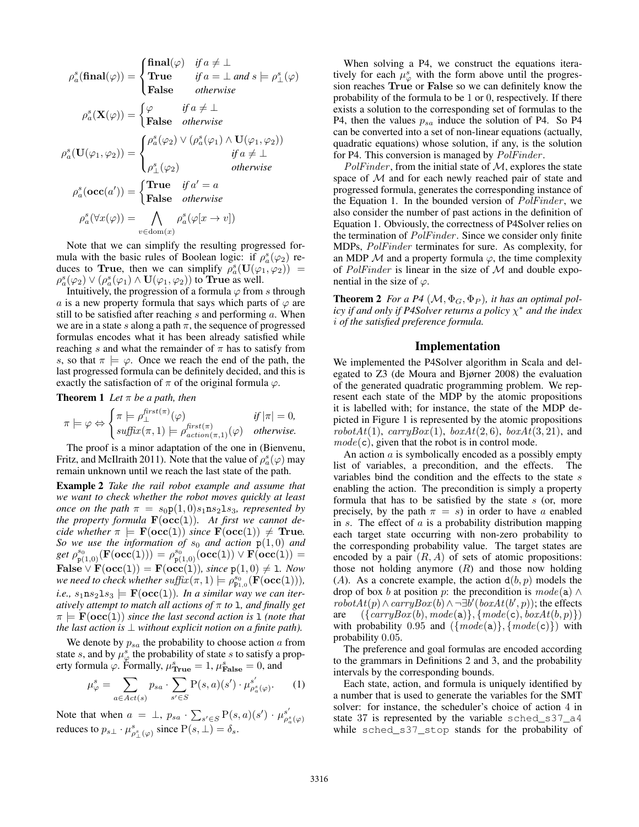$$
\rho_a^s(\textbf{final}(\varphi)) = \begin{cases} \textbf{final}(\varphi) & \textit{if } a \neq \bot \\ \textbf{True} & \textit{if } a = \bot \textit{ and } s \models \rho_{\perp}^s(\varphi) \end{cases}
$$

$$
\rho_a^s(\mathbf{X}(\varphi)) = \begin{cases} \varphi & \textit{if } a \neq \bot \\ \textbf{False} & \textit{otherwise} \end{cases}
$$

$$
\rho_a^s(\mathbf{U}(\varphi_1, \varphi_2)) = \begin{cases} \rho_a^s(\varphi_2) \lor (\rho_a^s(\varphi_1) \land \mathbf{U}(\varphi_1, \varphi_2)) \\ \rho_a^s(\varphi_2) & \textit{if } a \neq \bot \\ \rho_{\perp}^s(\varphi_2) & \textit{otherwise} \end{cases}
$$

$$
\rho_a^s(\textbf{occ}(a')) = \begin{cases} \textbf{True} & \textit{if } a' = a \\ \textbf{False} & \textit{otherwise} \end{cases}
$$

$$
\rho_a^s(\forall x(\varphi)) = \bigwedge_{v \in \text{dom}(x)} \rho_a^s(\varphi[x \to v])
$$

Note that we can simplify the resulting progressed formula with the basic rules of Boolean logic: if  $\rho_a^s(\varphi_2)$  reduces to True, then we can simplify  $\rho_a^s(\mathbf{U}(\varphi_1, \varphi_2))$  =  $\rho_a^s(\varphi_2) \vee (\rho_a^s(\varphi_1) \wedge \mathbf{U}(\varphi_1, \varphi_2))$  to **True** as well.

Intuitively, the progression of a formula  $\varphi$  from s through a is a new property formula that says which parts of  $\varphi$  are still to be satisfied after reaching  $s$  and performing  $a$ . When we are in a state s along a path  $\pi$ , the sequence of progressed formulas encodes what it has been already satisfied while reaching s and what the remainder of  $\pi$  has to satisfy from s, so that  $\pi \models \varphi$ . Once we reach the end of the path, the last progressed formula can be definitely decided, and this is exactly the satisfaction of  $\pi$  of the original formula  $\varphi$ .

Theorem 1 *Let* π *be a path, then*

$$
\pi \models \varphi \Leftrightarrow \begin{cases} \pi \models \rho_{\perp}^{first(\pi)}(\varphi) & \text{if } |\pi| = 0, \\ \text{suffix}(\pi, 1) \models \rho_{action(\pi, 1)}^{first(\pi)}(\varphi) & \text{otherwise.} \end{cases}
$$

The proof is a minor adaptation of the one in (Bienvenu, Fritz, and McIlraith 2011). Note that the value of  $\rho_a^s(\varphi)$  may remain unknown until we reach the last state of the path.

Example 2 *Take the rail robot example and assume that we want to check whether the robot moves quickly at least once on the path*  $\pi = s_0 p(1, 0) s_1 n s_2 1 s_3$ *, represented by the property formula*  $\mathbf{F}(\mathbf{occ}(1))$ *. At first we cannot decide whether*  $\pi$   $=$  **F**( $\text{occ}(1)$ ) *since* **F**( $\text{occ}(1)$ )  $\neq$  **True**. *So we use the information of*  $s_0$  *and action*  $p(1, 0)$  *and*  $get\ \rho_{\mathbf{p}(1,0)}^{s_0}(\mathbf{F}(\mathbf{occ}(1)))=\rho_{\mathbf{p}(1,0)}^{s_0}(\mathbf{occ}(1))\lor\mathbf{F}(\mathbf{occ}(1))=$  ${\bf False} \vee {\bf F}({\bf occ}(1)) = {\bf F}({\bf occ}(1)),$  since  ${\bf p}(1,0) \neq 1$ *. Now* we need to check whether  $\textit{suffix}(\pi,1) \models \rho_{\texttt{P1},0}^{\texttt{s}_0}(\textbf{F}(\textbf{occ}(1))),$ *i.e.*,  $s_1$ **n** $s_2$ **l** $s_3$   $\models$  **F**(**occ**(**l**))*. In a similar way we can iteratively attempt to match all actions of* π *to* l*, and finally get*  $\pi \models F(occ(1))$  *since the last second action is* 1 *(note that the last action is*  $\perp$  *without explicit notion on a finite path).* 

We denote by  $p_{sa}$  the probability to choose action  $a$  from state s, and by  $\mu_{\varphi}^{s}$  the probability of state s to satisfy a property formula  $\varphi$ . Formally,  $\mu_{\text{True}}^s = 1$ ,  $\mu_{\text{False}}^s = 0$ , and

$$
\mu_{\varphi}^{s} = \sum_{a \in Act(s)} p_{sa} \cdot \sum_{s' \in S} \mathbf{P}(s, a)(s') \cdot \mu_{\rho_{a}^{s}(\varphi)}^{s'}.
$$
 (1)

Note that when  $a = \perp$ ,  $p_{sa} \cdot \sum_{s' \in S} P(s, a)(s') \cdot \mu_{\rho_a^s(\varphi)}^{s'}$ <br>reduces to  $p_{s\perp} \cdot \mu_{\rho_{\perp}^s(\varphi)}^{s}$  since  $P(s, \perp) = \delta_s$ .

When solving a P4, we construct the equations iteratively for each  $\mu_{\varphi}^s$  with the form above until the progression reaches True or False so we can definitely know the probability of the formula to be 1 or 0, respectively. If there exists a solution to the corresponding set of formulas to the P4, then the values  $p_{sa}$  induce the solution of P4. So P4 can be converted into a set of non-linear equations (actually, quadratic equations) whose solution, if any, is the solution for P4. This conversion is managed by  $PolFinder$ .

 $PolFinder$ , from the initial state of  $M$ , explores the state space of M and for each newly reached pair of state and progressed formula, generates the corresponding instance of the Equation 1. In the bounded version of  $PolFinder$ , we also consider the number of past actions in the definition of Equation 1. Obviously, the correctness of P4Solver relies on the termination of  $PolFinder$ . Since we consider only finite MDPs, PolFinder terminates for sure. As complexity, for an MDP  $M$  and a property formula  $\varphi$ , the time complexity of  $PolFinder$  is linear in the size of  $M$  and double exponential in the size of  $\varphi$ .

**Theorem 2** *For a P4*  $(M, \Phi_G, \Phi_P)$ *, it has an optimal policy if and only if P4Solver returns a policy* χ <sup>∗</sup> *and the index* i *of the satisfied preference formula.*

#### Implementation

We implemented the P4Solver algorithm in Scala and delegated to Z3 (de Moura and Bjørner 2008) the evaluation of the generated quadratic programming problem. We represent each state of the MDP by the atomic propositions it is labelled with; for instance, the state of the MDP depicted in Figure 1 is represented by the atomic propositions  $robotAt(1), carryBox(1), boxAt(2, 6), boxAt(3, 21), and$  $mode(c)$ , given that the robot is in control mode.

An action  $\alpha$  is symbolically encoded as a possibly empty list of variables, a precondition, and the effects. The variables bind the condition and the effects to the state s enabling the action. The precondition is simply a property formula that has to be satisfied by the state  $s$  (or, more precisely, by the path  $\pi = s$ ) in order to have a enabled in s. The effect of  $a$  is a probability distribution mapping each target state occurring with non-zero probability to the corresponding probability value. The target states are encoded by a pair  $(R, A)$  of sets of atomic propositions: those not holding anymore  $(R)$  and those now holding (A). As a concrete example, the action  $d(b, p)$  models the drop of box b at position p: the precondition is  $mode(a) \wedge$  $robotAt(p) \wedge carryBox(b) \wedge \neg \exists b' (boxAt(b', p))$ ; the effects are  $({\{carryBox(b), mode(a)\}, {mode(c), boxAt(b, p)\}})$ with probability 0.95 and  $({{mode(a)}}, {{mode(c)}})$  with probability 0.05.

The preference and goal formulas are encoded according to the grammars in Definitions 2 and 3, and the probability intervals by the corresponding bounds.

Each state, action, and formula is uniquely identified by a number that is used to generate the variables for the SMT solver: for instance, the scheduler's choice of action 4 in state 37 is represented by the variable sched\_s37\_a4 while sched\_s37\_stop stands for the probability of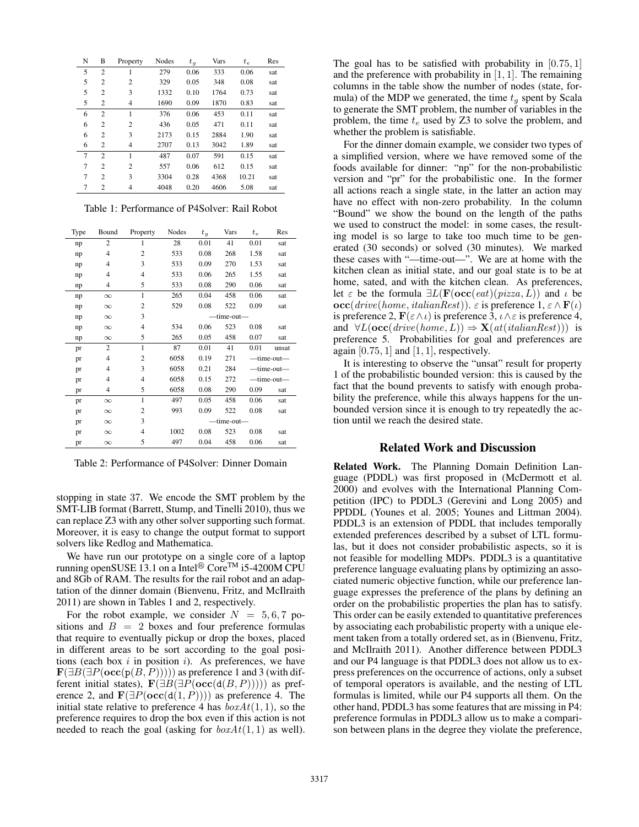| N              | B              | Property       | Nodes | $t_q$ | Vars | $t_e$ | Res |
|----------------|----------------|----------------|-------|-------|------|-------|-----|
| 5              | $\overline{c}$ | 1              | 279   | 0.06  | 333  | 0.06  | sat |
| 5              | $\overline{2}$ | $\overline{c}$ | 329   | 0.05  | 348  | 0.08  | sat |
| 5              | 2              | 3              | 1332  | 0.10  | 1764 | 0.73  | sat |
| 5              | 2              | $\overline{4}$ | 1690  | 0.09  | 1870 | 0.83  | sat |
| 6              | $\overline{c}$ | 1              | 376   | 0.06  | 453  | 0.11  | sat |
| 6              | 2              | $\overline{c}$ | 436   | 0.05  | 471  | 0.11  | sat |
| 6              | $\overline{c}$ | 3              | 2173  | 0.15  | 2884 | 1.90  | sat |
| 6              | 2              | 4              | 2707  | 0.13  | 3042 | 1.89  | sat |
| $\overline{7}$ | $\overline{c}$ | 1              | 487   | 0.07  | 591  | 0.15  | sat |
| 7              | $\overline{c}$ | $\overline{c}$ | 557   | 0.06  | 612  | 0.15  | sat |
| 7              | $\overline{c}$ | 3              | 3304  | 0.28  | 4368 | 10.21 | sat |
| 7              | 2              | 4              | 4048  | 0.20  | 4606 | 5.08  | sat |

Table 1: Performance of P4Solver: Rail Robot

| Type | Bound          | Property       | Nodes      | $t_q$ | Vars | $t_e$ | Res        |  |
|------|----------------|----------------|------------|-------|------|-------|------------|--|
| np   | $\overline{2}$ | 1              | 28         | 0.01  | 41   | 0.01  | sat        |  |
| np   | $\overline{4}$ | $\overline{c}$ | 533        | 0.08  | 268  | 1.58  | sat        |  |
| np   | 4              | 3              | 533        | 0.09  | 270  | 1.53  | sat        |  |
| np   | 4              | $\overline{4}$ | 533        | 0.06  | 265  | 1.55  | sat        |  |
| np   | 4              | 5              | 533        | 0.08  | 290  | 0.06  | sat        |  |
| np   | $\infty$       | $\mathbf{1}$   | 265        | 0.04  | 458  | 0.06  | sat        |  |
| np   | $\infty$       | $\overline{c}$ | 529        | 0.08  | 522  | 0.09  | sat        |  |
| np   | $\infty$       | 3              | -time-out- |       |      |       |            |  |
| np   | $\infty$       | $\overline{4}$ | 534        | 0.06  | 523  | 0.08  | sat        |  |
| np   | $\infty$       | 5              | 265        | 0.05  | 458  | 0.07  | sat        |  |
| pr   | 2              | 1              | 87         | 0.01  | 41   | 0.01  | unsat      |  |
| pr   | 4              | $\overline{2}$ | 6058       | 0.19  | 271  |       | —time-out— |  |
| pr   | 4              | 3              | 6058       | 0.21  | 284  |       | -time-out- |  |
| pr   | 4              | $\overline{4}$ | 6058       | 0.15  | 272  |       | —time-out— |  |
| pr   | 4              | 5              | 6058       | 0.08  | 290  | 0.09  | sat        |  |
| pr   | $\infty$       | $\mathbf{1}$   | 497        | 0.05  | 458  | 0.06  | sat        |  |
| pr   | $\infty$       | $\mathbf{2}$   | 993        | 0.09  | 522  | 0.08  | sat        |  |
| pr   | $\infty$       | 3              | time-out-  |       |      |       |            |  |
| pr   | $\infty$       | 4              | 1002       | 0.08  | 523  | 0.08  | sat        |  |
| pr   | $\infty$       | 5              | 497        | 0.04  | 458  | 0.06  | sat        |  |

Table 2: Performance of P4Solver: Dinner Domain

stopping in state 37. We encode the SMT problem by the SMT-LIB format (Barrett, Stump, and Tinelli 2010), thus we can replace Z3 with any other solver supporting such format. Moreover, it is easy to change the output format to support solvers like Redlog and Mathematica.

We have run our prototype on a single core of a laptop running openSUSE 13.1 on a Intel<sup>®</sup> Core<sup>TM</sup> i5-4200M CPU and 8Gb of RAM. The results for the rail robot and an adaptation of the dinner domain (Bienvenu, Fritz, and McIlraith 2011) are shown in Tables 1 and 2, respectively.

For the robot example, we consider  $N = 5, 6, 7$  positions and  $B = 2$  boxes and four preference formulas that require to eventually pickup or drop the boxes, placed in different areas to be sort according to the goal positions (each box  $i$  in position  $i$ ). As preferences, we have  $\mathbf{F}(\exists B(\exists P(\mathbf{occ}(p(B, P))))$  as preference 1 and 3 (with different initial states),  $\mathbf{F}(\exists B(\exists P(\mathbf{occ}(d(B, P))))$  as preference 2, and  $\mathbf{F}(\exists P(\mathbf{occ}(d(1, P))))$  as preference 4. The initial state relative to preference 4 has  $boxAt(1, 1)$ , so the preference requires to drop the box even if this action is not needed to reach the goal (asking for  $boxAt(1, 1)$  as well).

The goal has to be satisfied with probability in  $[0.75, 1]$ and the preference with probability in  $[1, 1]$ . The remaining columns in the table show the number of nodes (state, formula) of the MDP we generated, the time  $t<sub>q</sub>$  spent by Scala to generate the SMT problem, the number of variables in the problem, the time  $t_e$  used by Z3 to solve the problem, and whether the problem is satisfiable.

For the dinner domain example, we consider two types of a simplified version, where we have removed some of the foods available for dinner: "np" for the non-probabilistic version and "pr" for the probabilistic one. In the former all actions reach a single state, in the latter an action may have no effect with non-zero probability. In the column "Bound" we show the bound on the length of the paths we used to construct the model: in some cases, the resulting model is so large to take too much time to be generated (30 seconds) or solved (30 minutes). We marked these cases with "—time-out—". We are at home with the kitchen clean as initial state, and our goal state is to be at home, sated, and with the kitchen clean. As preferences, let  $\varepsilon$  be the formula  $\exists L(\mathbf{F}(\mathbf{occ}(eat)(pizza, L))$  and  $\iota$  be  $\mathbf{occ}(drive(home, italianRest))$ .  $\varepsilon$  is preference  $1, \varepsilon \wedge \mathbf{F}(\iota)$ is preference 2,  $\mathbf{F}(\varepsilon \wedge \iota)$  is preference 3,  $\iota \wedge \varepsilon$  is preference 4, and  $\forall L(\mathbf{occ}(drive(home, L)) \Rightarrow \mathbf{X}(at(italianRest)))$  is preference 5. Probabilities for goal and preferences are again  $[0.75, 1]$  and  $[1, 1]$ , respectively.

It is interesting to observe the "unsat" result for property 1 of the probabilistic bounded version: this is caused by the fact that the bound prevents to satisfy with enough probability the preference, while this always happens for the unbounded version since it is enough to try repeatedly the action until we reach the desired state.

# Related Work and Discussion

Related Work. The Planning Domain Definition Language (PDDL) was first proposed in (McDermott et al. 2000) and evolves with the International Planning Competition (IPC) to PDDL3 (Gerevini and Long 2005) and PPDDL (Younes et al. 2005; Younes and Littman 2004). PDDL3 is an extension of PDDL that includes temporally extended preferences described by a subset of LTL formulas, but it does not consider probabilistic aspects, so it is not feasible for modelling MDPs. PDDL3 is a quantitative preference language evaluating plans by optimizing an associated numeric objective function, while our preference language expresses the preference of the plans by defining an order on the probabilistic properties the plan has to satisfy. This order can be easily extended to quantitative preferences by associating each probabilistic property with a unique element taken from a totally ordered set, as in (Bienvenu, Fritz, and McIlraith 2011). Another difference between PDDL3 and our P4 language is that PDDL3 does not allow us to express preferences on the occurrence of actions, only a subset of temporal operators is available, and the nesting of LTL formulas is limited, while our P4 supports all them. On the other hand, PDDL3 has some features that are missing in P4: preference formulas in PDDL3 allow us to make a comparison between plans in the degree they violate the preference,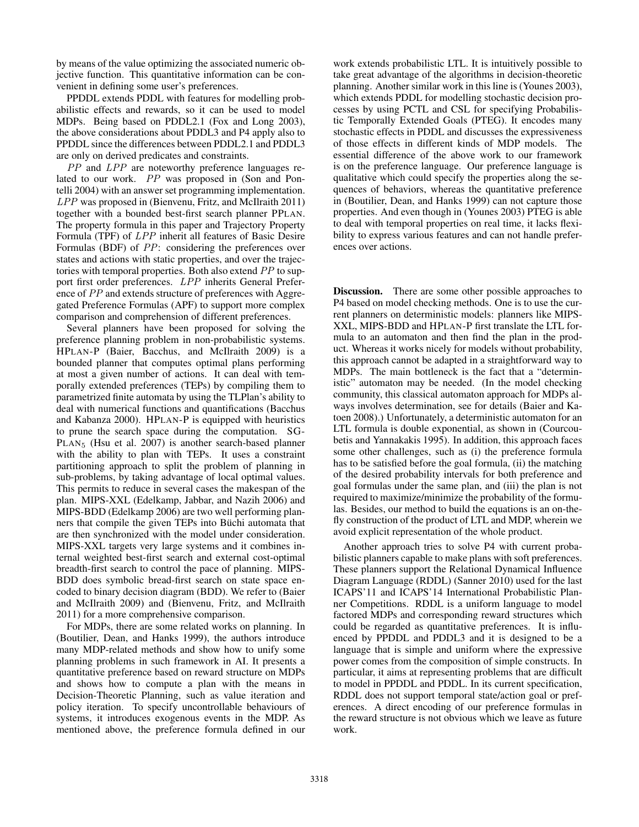by means of the value optimizing the associated numeric objective function. This quantitative information can be convenient in defining some user's preferences.

PPDDL extends PDDL with features for modelling probabilistic effects and rewards, so it can be used to model MDPs. Being based on PDDL2.1 (Fox and Long 2003), the above considerations about PDDL3 and P4 apply also to PPDDL since the differences between PDDL2.1 and PDDL3 are only on derived predicates and constraints.

PP and LPP are noteworthy preference languages related to our work. PP was proposed in (Son and Pontelli 2004) with an answer set programming implementation. LPP was proposed in (Bienvenu, Fritz, and McIlraith 2011) together with a bounded best-first search planner PPLAN. The property formula in this paper and Trajectory Property Formula (TPF) of LPP inherit all features of Basic Desire Formulas (BDF) of PP: considering the preferences over states and actions with static properties, and over the trajectories with temporal properties. Both also extend PP to support first order preferences. LPP inherits General Preference of PP and extends structure of preferences with Aggregated Preference Formulas (APF) to support more complex comparison and comprehension of different preferences.

Several planners have been proposed for solving the preference planning problem in non-probabilistic systems. HPLAN-P (Baier, Bacchus, and McIlraith 2009) is a bounded planner that computes optimal plans performing at most a given number of actions. It can deal with temporally extended preferences (TEPs) by compiling them to parametrized finite automata by using the TLPlan's ability to deal with numerical functions and quantifications (Bacchus and Kabanza 2000). HPLAN-P is equipped with heuristics to prune the search space during the computation. SG-PLAN<sup>5</sup> (Hsu et al. 2007) is another search-based planner with the ability to plan with TEPs. It uses a constraint partitioning approach to split the problem of planning in sub-problems, by taking advantage of local optimal values. This permits to reduce in several cases the makespan of the plan. MIPS-XXL (Edelkamp, Jabbar, and Nazih 2006) and MIPS-BDD (Edelkamp 2006) are two well performing planners that compile the given TEPs into Büchi automata that are then synchronized with the model under consideration. MIPS-XXL targets very large systems and it combines internal weighted best-first search and external cost-optimal breadth-first search to control the pace of planning. MIPS-BDD does symbolic bread-first search on state space encoded to binary decision diagram (BDD). We refer to (Baier and McIlraith 2009) and (Bienvenu, Fritz, and McIlraith 2011) for a more comprehensive comparison.

For MDPs, there are some related works on planning. In (Boutilier, Dean, and Hanks 1999), the authors introduce many MDP-related methods and show how to unify some planning problems in such framework in AI. It presents a quantitative preference based on reward structure on MDPs and shows how to compute a plan with the means in Decision-Theoretic Planning, such as value iteration and policy iteration. To specify uncontrollable behaviours of systems, it introduces exogenous events in the MDP. As mentioned above, the preference formula defined in our

work extends probabilistic LTL. It is intuitively possible to take great advantage of the algorithms in decision-theoretic planning. Another similar work in this line is (Younes 2003), which extends PDDL for modelling stochastic decision processes by using PCTL and CSL for specifying Probabilistic Temporally Extended Goals (PTEG). It encodes many stochastic effects in PDDL and discusses the expressiveness of those effects in different kinds of MDP models. The essential difference of the above work to our framework is on the preference language. Our preference language is qualitative which could specify the properties along the sequences of behaviors, whereas the quantitative preference in (Boutilier, Dean, and Hanks 1999) can not capture those properties. And even though in (Younes 2003) PTEG is able to deal with temporal properties on real time, it lacks flexibility to express various features and can not handle preferences over actions.

Discussion. There are some other possible approaches to P4 based on model checking methods. One is to use the current planners on deterministic models: planners like MIPS-XXL, MIPS-BDD and HPLAN-P first translate the LTL formula to an automaton and then find the plan in the product. Whereas it works nicely for models without probability, this approach cannot be adapted in a straightforward way to MDPs. The main bottleneck is the fact that a "deterministic" automaton may be needed. (In the model checking community, this classical automaton approach for MDPs always involves determination, see for details (Baier and Katoen 2008).) Unfortunately, a deterministic automaton for an LTL formula is double exponential, as shown in (Courcoubetis and Yannakakis 1995). In addition, this approach faces some other challenges, such as (i) the preference formula has to be satisfied before the goal formula, (ii) the matching of the desired probability intervals for both preference and goal formulas under the same plan, and (iii) the plan is not required to maximize/minimize the probability of the formulas. Besides, our method to build the equations is an on-thefly construction of the product of LTL and MDP, wherein we avoid explicit representation of the whole product.

Another approach tries to solve P4 with current probabilistic planners capable to make plans with soft preferences. These planners support the Relational Dynamical Influence Diagram Language (RDDL) (Sanner 2010) used for the last ICAPS'11 and ICAPS'14 International Probabilistic Planner Competitions. RDDL is a uniform language to model factored MDPs and corresponding reward structures which could be regarded as quantitative preferences. It is influenced by PPDDL and PDDL3 and it is designed to be a language that is simple and uniform where the expressive power comes from the composition of simple constructs. In particular, it aims at representing problems that are difficult to model in PPDDL and PDDL. In its current specification, RDDL does not support temporal state/action goal or preferences. A direct encoding of our preference formulas in the reward structure is not obvious which we leave as future work.